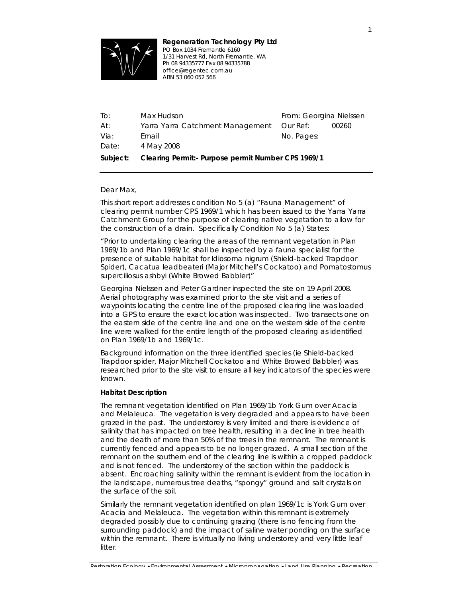

*Regeneration Technology Pty Ltd PO Box 1034 Fremantle 6160 1/31 Harvest Rd, North Fremantle, WA Ph 08 94335777 Fax 08 94335788 office@regentec.com.au*  ABN 53 *060 052 566*

| To:             | Max Hudson                                         | From: Georgina Nielssen |       |
|-----------------|----------------------------------------------------|-------------------------|-------|
| At:             | Yarra Yarra Catchment Management                   | <i>Our Ref:</i>         | 00260 |
| Via:            | Email                                              | No. Pages:              |       |
| <i>Date:</i>    | 4 May 2008                                         |                         |       |
| <i>Subject:</i> | Clearing Permit:- Purpose permit Number CPS 1969/1 |                         |       |

## Dear Max,

This short report addresses condition No 5 (a) "Fauna Management" of clearing permit number CPS 1969/1 which has been issued to the Yarra Yarra Catchment Group for the purpose of clearing native vegetation to allow for the construction of a drain. Specifically Condition No 5 (a) States:

"*Prior to undertaking clearing the areas of the remnant vegetation in Plan 1969/1b and Plan 1969/1c shall be inspected by a fauna specialist for the presence of suitable habitat for* Idiosoma nigrum *(Shield-backed Trapdoor Spider),* Cacatua leadbeateri *(Major Mitchell's Cockatoo) and* Pomatostomus superciliosus ashbyi *(White Browed Babbler)"* 

Georgina Nielssen and Peter Gardner inspected the site on 19 April 2008. Aerial photography was examined prior to the site visit and a series of waypoints locating the centre line of the proposed clearing line was loaded into a GPS to ensure the exact location was inspected. Two transects one on the eastern side of the centre line and one on the western side of the centre line were walked for the entire length of the proposed clearing as identified on Plan 1969/1b and 1969/1c.

Background information on the three identified species (ie Shield-backed Trapdoor spider, Major Mitchell Cockatoo and White Browed Babbler) was researched prior to the site visit to ensure all key indicators of the species were known.

# *Habitat Description*

The remnant vegetation identified on Plan 1969/1b York Gum over Acacia and Melaleuca. The vegetation is very degraded and appears to have been grazed in the past. The understorey is very limited and there is evidence of salinity that has impacted on tree health, resulting in a decline in tree health and the death of more than 50% of the trees in the remnant. The remnant is currently fenced and appears to be no longer grazed. A small section of the remnant on the southern end of the clearing line is within a cropped paddock and is not fenced. The understorey of the section within the paddock is absent. Encroaching salinity within the remnant is evident from the location in the landscape, numerous tree deaths, "spongy" ground and salt crystals on the surface of the soil.

Similarly the remnant vegetation identified on plan 1969/1c is York Gum over Acacia and Melaleuca. The vegetation within this remnant is extremely degraded possibly due to continuing grazing (there is no fencing from the surrounding paddock) and the impact of saline water ponding on the surface within the remnant. There is virtually no living understorey and very little leaf litter.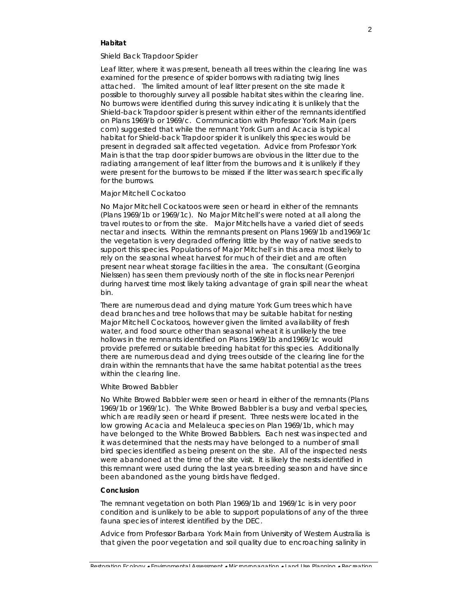## *Habitat*

#### *Shield Back Trapdoor Spider*

Leaf litter, where it was present, beneath all trees within the clearing line was examined for the presence of spider borrows with radiating twig lines attached. The limited amount of leaf litter present on the site made it possible to thoroughly survey all possible habitat sites within the clearing line. No burrows were identified during this survey indicating it is unlikely that the Shield-back Trapdoor spider is present within either of the remnants identified on Plans 1969/b or 1969/c. Communication with Professor York Main (pers com) suggested that while the remnant York Gum and Acacia is typical habitat for Shield-back Trapdoor spider it is unlikely this species would be present in degraded salt affected vegetation. Advice from Professor York Main is that the trap door spider burrows are obvious in the litter due to the radiating arrangement of leaf litter from the burrows and it is unlikely if they were present for the burrows to be missed if the litter was search specifically for the burrows.

#### *Major Mitchell Cockatoo*

No Major Mitchell Cockatoos were seen or heard in either of the remnants (Plans 1969/1b or 1969/1c). No Major Mitchell's were noted at all along the travel routes to or from the site. Major Mitchells have a varied diet of seeds nectar and insects. Within the remnants present on Plans 1969/1b and1969/1c the vegetation is very degraded offering little by the way of native seeds to support this species. Populations of Major Mitchell's in this area most likely to rely on the seasonal wheat harvest for much of their diet and are often present near wheat storage facilities in the area. The consultant (Georgina Nielssen) has seen them previously north of the site in flocks near Perenjori during harvest time most likely taking advantage of grain spill near the wheat bin.

There are numerous dead and dying mature York Gum trees which have dead branches and tree hollows that may be suitable habitat for nesting Major Mitchell Cockatoos, however given the limited availability of fresh water, and food source other than seasonal wheat it is unlikely the tree hollows in the remnants identified on Plans 1969/1b and1969/1c would provide preferred or suitable breeding habitat for this species. Additionally there are numerous dead and dying trees outside of the clearing line for the drain within the remnants that have the same habitat potential as the trees within the clearing line.

# *White Browed Babbler*

No White Browed Babbler were seen or heard in either of the remnants (Plans 1969/1b or 1969/1c). The White Browed Babbler is a busy and verbal species, which are readily seen or heard if present. Three nests were located in the low growing Acacia and Melaleuca species on Plan 1969/1b, which may have belonged to the White Browed Babblers. Each nest was inspected and it was determined that the nests may have belonged to a number of small bird species identified as being present on the site. All of the inspected nests were abandoned at the time of the site visit. It is likely the nests identified in this remnant were used during the last years breeding season and have since been abandoned as the young birds have fledged.

### *Conclusion*

The remnant vegetation on both Plan 1969/1b and 1969/1c is in very poor condition and is unlikely to be able to support populations of any of the three fauna species of interest identified by the DEC.

Advice from Professor Barbara York Main from University of Western Australia is that given the poor vegetation and soil quality due to encroaching salinity in